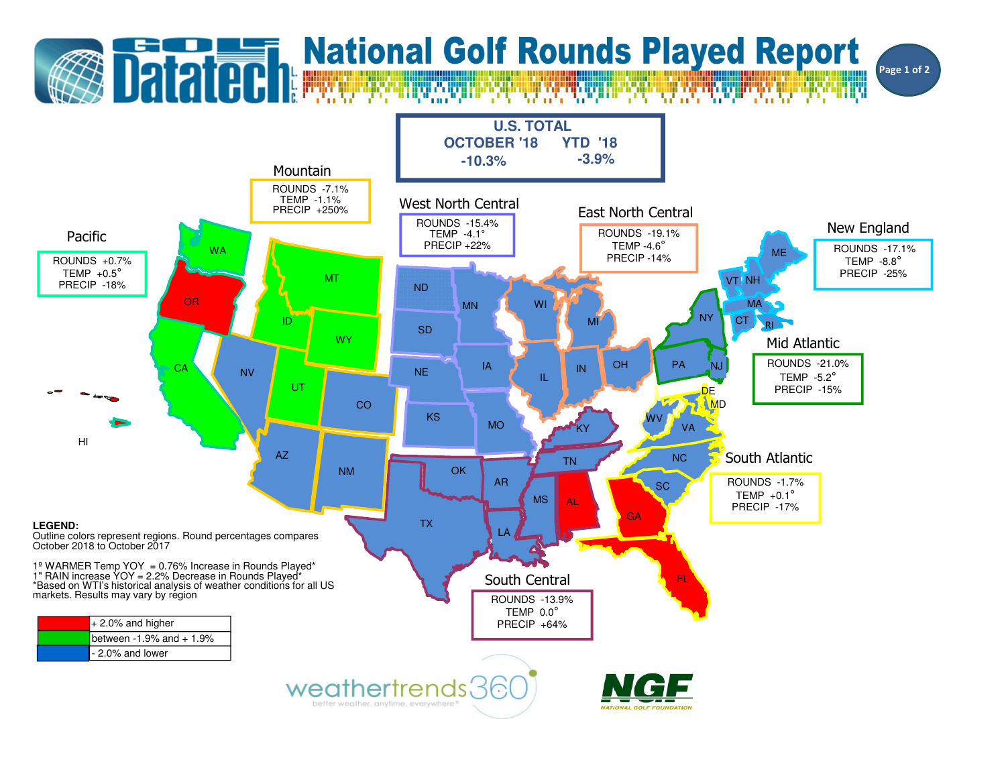